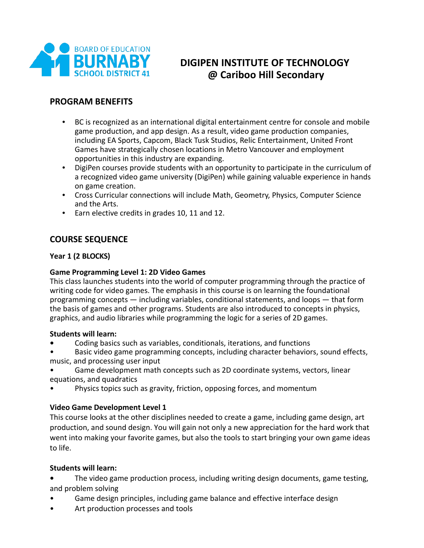

# **DIGIPEN INSTITUTE OF TECHNOLOGY @ Cariboo Hill Secondary**

## **PROGRAM BENEFITS**

- BC is recognized as an international digital entertainment centre for console and mobile game production, and app design. As a result, video game production companies, including EA Sports, Capcom, Black Tusk Studios, Relic Entertainment, United Front Games have strategically chosen locations in Metro Vancouver and employment opportunities in this industry are expanding.
- DigiPen courses provide students with an opportunity to participate in the curriculum of a recognized video game university (DigiPen) while gaining valuable experience in hands on game creation.
- Cross Curricular connections will include Math, Geometry, Physics, Computer Science and the Arts.
- Earn elective credits in grades 10, 11 and 12.

## **COURSE SEQUENCE**

#### **Year 1 (2 BLOCKS)**

#### **Game Programming Level 1: 2D Video Games**

This class launches students into the world of computer programming through the practice of writing code for video games. The emphasis in this course is on learning the foundational programming concepts — including variables, conditional statements, and loops — that form the basis of games and other programs. Students are also introduced to concepts in physics, graphics, and audio libraries while programming the logic for a series of 2D games.

#### **Students will learn:**

- Coding basics such as variables, conditionals, iterations, and functions
- Basic video game programming concepts, including character behaviors, sound effects, music, and processing user input
- Game development math concepts such as 2D coordinate systems, vectors, linear equations, and quadratics
- Physics topics such as gravity, friction, opposing forces, and momentum

#### **Video Game Development Level 1**

This course looks at the other disciplines needed to create a game, including game design, art production, and sound design. You will gain not only a new appreciation for the hard work that went into making your favorite games, but also the tools to start bringing your own game ideas to life.

#### **Students will learn:**

**•** The video game production process, including writing design documents, game testing, and problem solving

- Game design principles, including game balance and effective interface design
- Art production processes and tools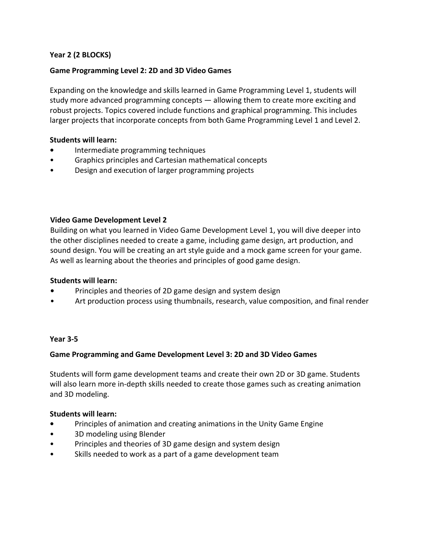### **Year 2 (2 BLOCKS)**

#### **Game Programming Level 2: 2D and 3D Video Games**

Expanding on the knowledge and skills learned in Game Programming Level 1, students will study more advanced programming concepts — allowing them to create more exciting and robust projects. Topics covered include functions and graphical programming. This includes larger projects that incorporate concepts from both Game Programming Level 1 and Level 2.

#### **Students will learn:**

- **•** Intermediate programming techniques
- Graphics principles and Cartesian mathematical concepts
- Design and execution of larger programming projects

#### **Video Game Development Level 2**

Building on what you learned in Video Game Development Level 1, you will dive deeper into the other disciplines needed to create a game, including game design, art production, and sound design. You will be creating an art style guide and a mock game screen for your game. As well as learning about the theories and principles of good game design.

#### **Students will learn:**

- **•** Principles and theories of 2D game design and system design
- Art production process using thumbnails, research, value composition, and final render

#### **Year 3-5**

#### **Game Programming and Game Development Level 3: 2D and 3D Video Games**

Students will form game development teams and create their own 2D or 3D game. Students will also learn more in-depth skills needed to create those games such as creating animation and 3D modeling.

#### **Students will learn:**

- **•** Principles of animation and creating animations in the Unity Game Engine
- 3D modeling using Blender
- Principles and theories of 3D game design and system design
- Skills needed to work as a part of a game development team